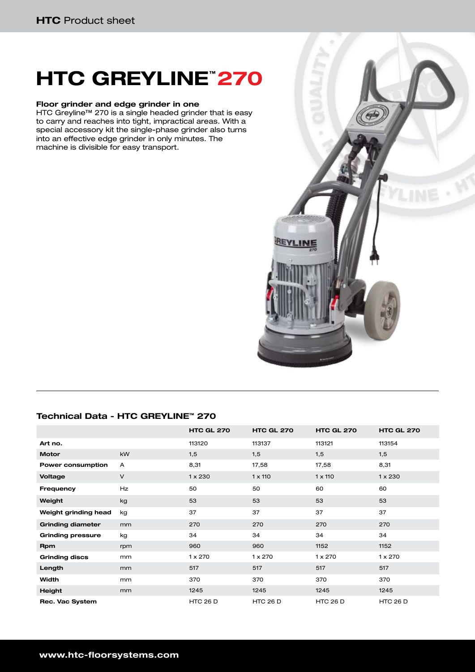## **HTC GREYLINE™ 270**

#### **Floor grinder and edge grinder in one**

HTC Greyline™ 270 is a single headed grinder that is easy to carry and reaches into tight, impractical areas. With a special accessory kit the single-phase grinder also turns into an effective edge grinder in only minutes. The machine is divisible for easy transport.



### **Technical Data - HTC GREYLINE™ 270**

|                          |           | <b>HTC GL 270</b> | <b>HTC GL 270</b> | <b>HTC GL 270</b> | <b>HTC GL 270</b> |
|--------------------------|-----------|-------------------|-------------------|-------------------|-------------------|
| Art no.                  |           | 113120            | 113137            | 113121            | 113154            |
| <b>Motor</b>             | <b>kW</b> | 1,5               | 1,5               | 1,5               | 1,5               |
| Power consumption        | A         | 8,31              | 17,58             | 17,58             | 8,31              |
| Voltage                  | $\vee$    | $1 \times 230$    | $1 \times 110$    | $1 \times 110$    | $1 \times 230$    |
| <b>Frequency</b>         | <b>Hz</b> | 50                | 50                | 60                | 60                |
| Weight                   | kg        | 53                | 53                | 53                | 53                |
| Weight grinding head     | kg        | 37                | 37                | 37                | 37                |
| <b>Grinding diameter</b> | mm        | 270               | 270               | 270               | 270               |
| <b>Grinding pressure</b> | kg        | 34                | 34                | 34                | 34                |
| <b>Rpm</b>               | rpm       | 960               | 960               | 1152              | 1152              |
| <b>Grinding discs</b>    | mm        | $1 \times 270$    | $1 \times 270$    | $1 \times 270$    | $1 \times 270$    |
| Length                   | mm        | 517               | 517               | 517               | 517               |
| Width                    | mm        | 370               | 370               | 370               | 370               |
| Height                   | mm        | 1245              | 1245              | 1245              | 1245              |
| Rec. Vac System          |           | <b>HTC 26 D</b>   | <b>HTC 26 D</b>   | <b>HTC 26 D</b>   | <b>HTC 26 D</b>   |